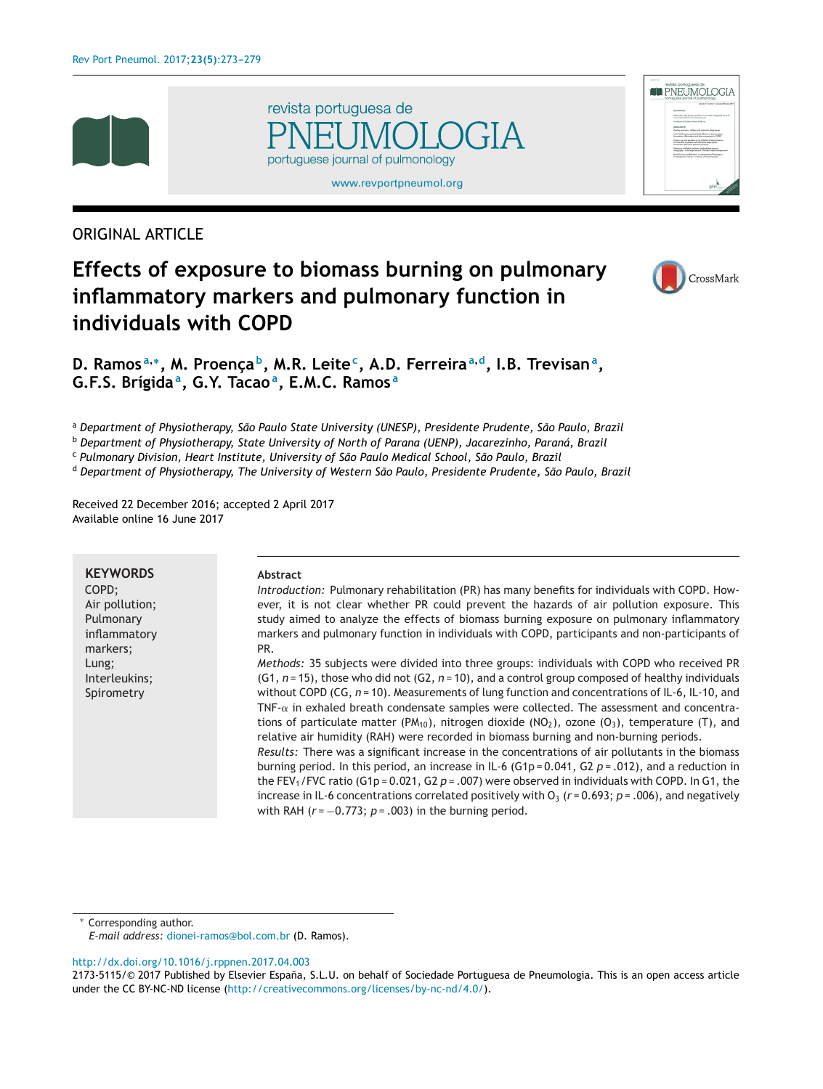





# ORIGINAL ARTICLE

# **Effects of exposure to biomass burning on pulmonary inflammatory markers and pulmonary function in individuals with COPD**



**D. Ramos <sup>a</sup>,∗, M. Proenc¸a b, M.R. Leitec, A.D. Ferreira<sup>a</sup>,d, I.B. Trevisana, G.F.S. Brígidaa, G.Y. Tacaoa, E.M.C. Ramos <sup>a</sup>**

<sup>a</sup> *Department of Physiotherapy, São Paulo State University (UNESP), Presidente Prudente, São Paulo, Brazil*

<sup>b</sup> *Department of Physiotherapy, State University of North of Parana (UENP), Jacarezinho, Paraná, Brazil*

<sup>c</sup> *Pulmonary Division, Heart Institute, University of São Paulo Medical School, São Paulo, Brazil*

<sup>d</sup> *Department of Physiotherapy, The University of Western São Paulo, Presidente Prudente, São Paulo, Brazil*

Received 22 December 2016; accepted 2 April 2017 Available online 16 June 2017

## **KEYWORDS**

COPD; Air pollution; Pulmonary inflammatory markers; Lung; Interleukins; Spirometry

#### **Abstract**

*Introduction:* Pulmonary rehabilitation (PR) has many benefits for individuals with COPD. However, it is not clear whether PR could prevent the hazards of air pollution exposure. This study aimed to analyze the effects of biomass burning exposure on pulmonary inflammatory markers and pulmonary function in individuals with COPD, participants and non-participants of PR.

*Methods:* 35 subjects were divided into three groups: individuals with COPD who received PR (G1, *n* = 15), those who did not (G2, *n* = 10), and a control group composed of healthy individuals without COPD (CG, *n* = 10). Measurements of lung function and concentrations of IL-6, IL-10, and TNF- $\alpha$  in exhaled breath condensate samples were collected. The assessment and concentrations of particulate matter (PM<sub>10</sub>), nitrogen dioxide (NO<sub>2</sub>), ozone (O<sub>3</sub>), temperature (T), and relative air humidity (RAH) were recorded in biomass burning and non-burning periods. *Results:* There was a significant increase in the concentrations of air pollutants in the biomass burning period. In this period, an increase in IL-6 (G1p = 0.041, G2 *p* = .012), and a reduction in the FEV1/FVC ratio (G1p = 0.021, G2 *p* = .007) were observed in individuals with COPD. In G1, the increase in IL-6 concentrations correlated positively with  $O_3$  ( $r = 0.693$ ;  $p = .006$ ), and negatively

Corresponding author.

*E-mail address:* [dionei-ramos@bol.com.br](mailto:dionei-ramos@bol.com.br) (D. Ramos).

[http://dx.doi.org/10.1016/j.rppnen.2017.04.003](dx.doi.org/10.1016/j.rppnen.2017.04.003)

with RAH ( $r$  = −0.773;  $p$  = .003) in the burning period.

<sup>2173-5115/© 2017</sup> Published by Elsevier España, S.L.U. on behalf of Sociedade Portuguesa de Pneumologia. This is an open access article under the CC BY-NC-ND license ([http://creativecommons.org/licenses/by-nc-nd/4.0/\)](http://creativecommons.org/licenses/by-nc-nd/4.0/).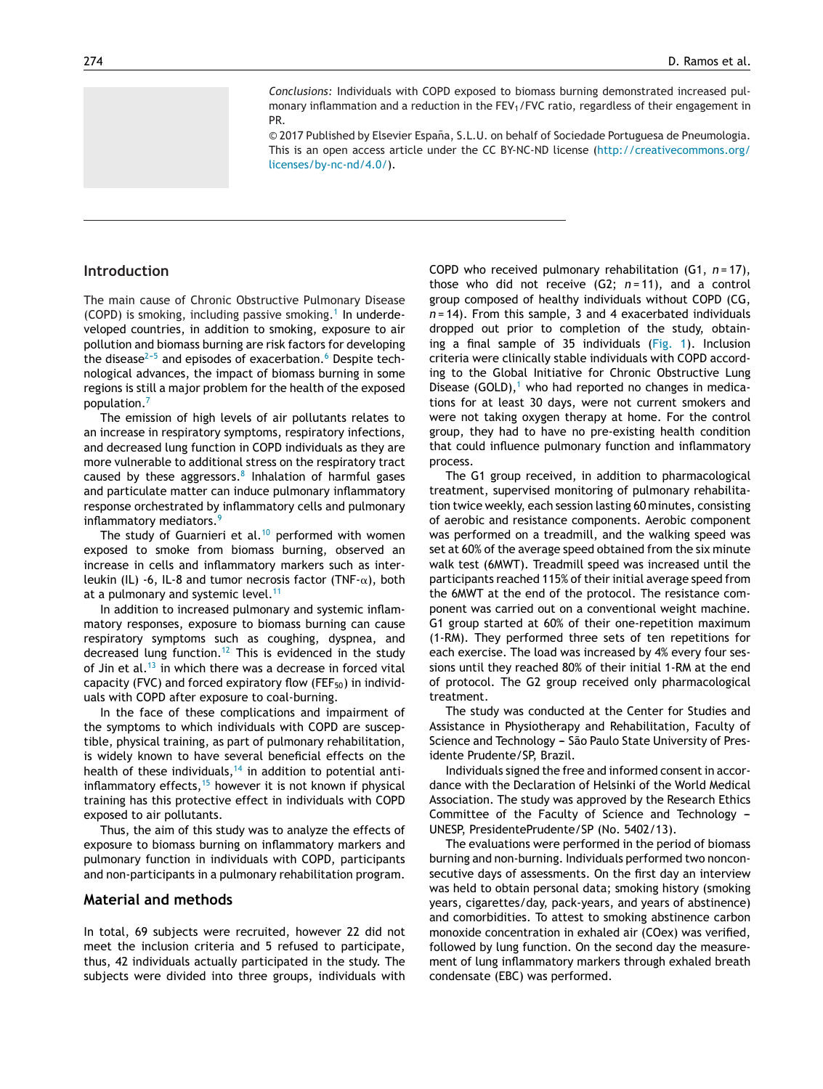*Conclusions:* Individuals with COPD exposed to biomass burning demonstrated increased pulmonary inflammation and a reduction in the  $FEV<sub>1</sub>/FVC$  ratio, regardless of their engagement in PR.

© 2017 Published by Elsevier España, S.L.U. on behalf of Sociedade Portuguesa de Pneumologia. This is an open access article under the CC BY-NC-ND license [\(http://creativecommons.org/](http://creativecommons.org/licenses/by-nc-nd/4.0/) [licenses/by-nc-nd/4.0/\)](http://creativecommons.org/licenses/by-nc-nd/4.0/).

#### **Introduction**

The main cause of Chronic Obstructive Pulmonary Disease (COPD) is smoking, including passive smoking.<sup>[1](#page-5-0)</sup> In underdeveloped countries, in addition to smoking, exposure to air pollution and biomass burning are risk factors for developing the disease<sup> $2-5$ </sup> and episodes of exacerbation.<sup>6</sup> [D](#page-5-0)espite technological advances, the impact of biomass burning in some regions is still a major problem for the health of the exposed population.[7](#page-5-0)

The emission of high levels of air pollutants relates to an increase in respiratory symptoms, respiratory infections, and decreased lung function in COPD individuals as they are more vulnerable to additional stress on the respiratory tract caused by these aggressors. $8$  Inhalation of harmful gases and particulate matter can induce pulmonary inflammatory response orchestrated by inflammatory cells and pulmonary inflammatory mediators.<sup>[9](#page-5-0)</sup>

The study of Guarnieri et al.<sup>[10](#page-5-0)</sup> performed with women exposed to smoke from biomass burning, observed an increase in cells and inflammatory markers such as interleukin (IL) -6, IL-8 and tumor necrosis factor (TNF- $\alpha$ ), both at a pulmonary and systemic level.<sup>[11](#page-5-0)</sup>

In addition to increased pulmonary and systemic inflammatory responses, exposure to biomass burning can cause respiratory symptoms such as coughing, dyspnea, and decreased lung function.<sup>[12](#page-5-0)</sup> This is evidenced in the study of Jin et al. $13$  in which there was a decrease in forced vital capacity (FVC) and forced expiratory flow (FEF $_{50}$ ) in individuals with COPD after exposure to coal-burning.

In the face of these complications and impairment of the symptoms to which individuals with COPD are susceptible, physical training, as part of pulmonary rehabilitation, is widely known to have several beneficial effects on the health of these individuals,  $14$  in addition to potential antiinflammatory effects, $15$  however it is not known if physical training has this protective effect in individuals with COPD exposed to air pollutants.

Thus, the aim of this study was to analyze the effects of exposure to biomass burning on inflammatory markers and pulmonary function in individuals with COPD, participants and non-participants in a pulmonary rehabilitation program.

#### **Material and methods**

In total, 69 subjects were recruited, however 22 did not meet the inclusion criteria and 5 refused to participate, thus, 42 individuals actually participated in the study. The subjects were divided into three groups, individuals with

COPD who received pulmonary rehabilitation (G1, *n* = 17), those who did not receive  $(G2; n=11)$ , and a control group composed of healthy individuals without COPD (CG, *n* = 14). From this sample, 3 and 4 exacerbated individuals dropped out prior to completion of the study, obtaining a final sample of 35 individuals [\(Fig.](#page-2-0) 1). Inclusion criteria were clinically stable individuals with COPD according to the Global Initiative for Chronic Obstructive Lung Disease (GOLD), $<sup>1</sup>$  $<sup>1</sup>$  $<sup>1</sup>$  who had reported no changes in medica-</sup> tions for at least 30 days, were not current smokers and were not taking oxygen therapy at home. For the control group, they had to have no pre-existing health condition that could influence pulmonary function and inflammatory process.

The G1 group received, in addition to pharmacological treatment, supervised monitoring of pulmonary rehabilitation twice weekly, each session lasting 60 minutes, consisting of aerobic and resistance components. Aerobic component was performed on a treadmill, and the walking speed was set at 60% of the average speed obtained from the six minute walk test (6MWT). Treadmill speed was increased until the participants reached 115% of their initial average speed from the 6MWT at the end of the protocol. The resistance component was carried out on a conventional weight machine. G1 group started at 60% of their one-repetition maximum (1-RM). They performed three sets of ten repetitions for each exercise. The load was increased by 4% every four sessions until they reached 80% of their initial 1-RM at the end of protocol. The G2 group received only pharmacological treatment.

The study was conducted at the Center for Studies and Assistance in Physiotherapy and Rehabilitation, Faculty of Science and Technology - São Paulo State University of Presidente Prudente/SP, Brazil.

Individuals signed the free and informed consent in accordance with the Declaration of Helsinki of the World Medical Association. The study was approved by the Research Ethics Committee of the Faculty of Science and Technology  $-$ UNESP, PresidentePrudente/SP (No. 5402/13).

The evaluations were performed in the period of biomass burning and non-burning. Individuals performed two nonconsecutive days of assessments. On the first day an interview was held to obtain personal data; smoking history (smoking years, cigarettes/day, pack-years, and years of abstinence) and comorbidities. To attest to smoking abstinence carbon monoxide concentration in exhaled air (COex) was verified, followed by lung function. On the second day the measurement of lung inflammatory markers through exhaled breath condensate (EBC) was performed.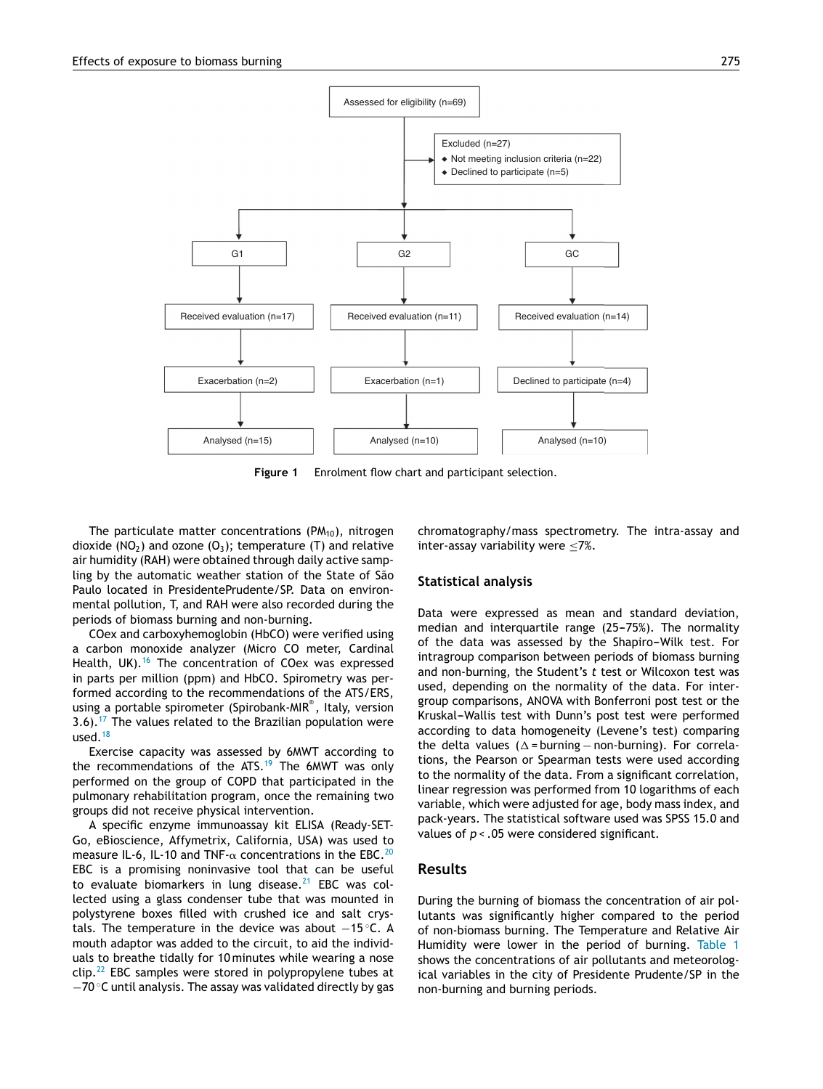<span id="page-2-0"></span>

**Figure 1** Enrolment flow chart and participant selection.

The particulate matter concentrations ( $PM<sub>10</sub>$ ), nitrogen dioxide (NO<sub>2</sub>) and ozone (O<sub>3</sub>); temperature (T) and relative air humidity (RAH) were obtained through daily active sampling by the automatic weather station of the State of São Paulo located in PresidentePrudente/SP. Data on environmental pollution, T, and RAH were also recorded during the periods of biomass burning and non-burning.

COex and carboxyhemoglobin (HbCO) were verified using a carbon monoxide analyzer (Micro CO meter, Cardinal Health, UK).<sup>[16](#page-5-0)</sup> The concentration of COex was expressed in parts per million (ppm) and HbCO. Spirometry was performed according to the recommendations of the ATS/ERS, using a portable spirometer (Spirobank-MIR®, Italy, version 3.6).[17](#page-5-0) The values related to the Brazilian population were used. $18$ 

Exercise capacity was assessed by 6MWT according to the recommendations of the  $ATS$ .<sup>[19](#page-5-0)</sup> The 6MWT was only performed on the group of COPD that participated in the pulmonary rehabilitation program, once the remaining two groups did not receive physical intervention.

A specific enzyme immunoassay kit ELISA (Ready-SET-Go, eBioscience, Affymetrix, California, USA) was used to measure IL-6, IL-10 and TNF- $\alpha$  concentrations in the EBC.<sup>[20](#page-5-0)</sup> EBC is a promising noninvasive tool that can be useful to evaluate biomarkers in lung disease.<sup>[21](#page-5-0)</sup> EBC was collected using a glass condenser tube that was mounted in polystyrene boxes filled with crushed ice and salt crystals. The temperature in the device was about −15 ◦C. A mouth adaptor was added to the circuit, to aid the individuals to breathe tidally for 10 minutes while wearing a nose  $clip.^22}$  $clip.^22}$  $clip.^22}$  EBC samples were stored in polypropylene tubes at −70 ◦C until analysis. The assay was validated directly by gas chromatography/mass spectrometry. The intra-assay and inter-assay variability were  $\leq 7\%$ .

#### **Statistical analysis**

Data were expressed as mean and standard deviation, median and interquartile range  $(25-75%)$ . The normality of the data was assessed by the Shapiro-Wilk test. For intragroup comparison between periods of biomass burning and non-burning, the Student's *t* test or Wilcoxon test was used, depending on the normality of the data. For intergroup comparisons, ANOVA with Bonferroni post test or the Kruskal-Wallis test with Dunn's post test were performed according to data homogeneity (Levene's test) comparing the delta values ( $\Delta$  = burning – non-burning). For correlations, the Pearson or Spearman tests were used according to the normality of the data. From a significant correlation, linear regression was performed from 10 logarithms of each variable, which were adjusted for age, body mass index, and pack-years. The statistical software used was SPSS 15.0 and values of *p* < .05 were considered significant.

#### **Results**

During the burning of biomass the concentration of air pollutants was significantly higher compared to the period of non-biomass burning. The Temperature and Relative Air Humidity were lower in the period of burning. [Table](#page-3-0) 1 shows the concentrations of air pollutants and meteorological variables in the city of Presidente Prudente/SP in the non-burning and burning periods.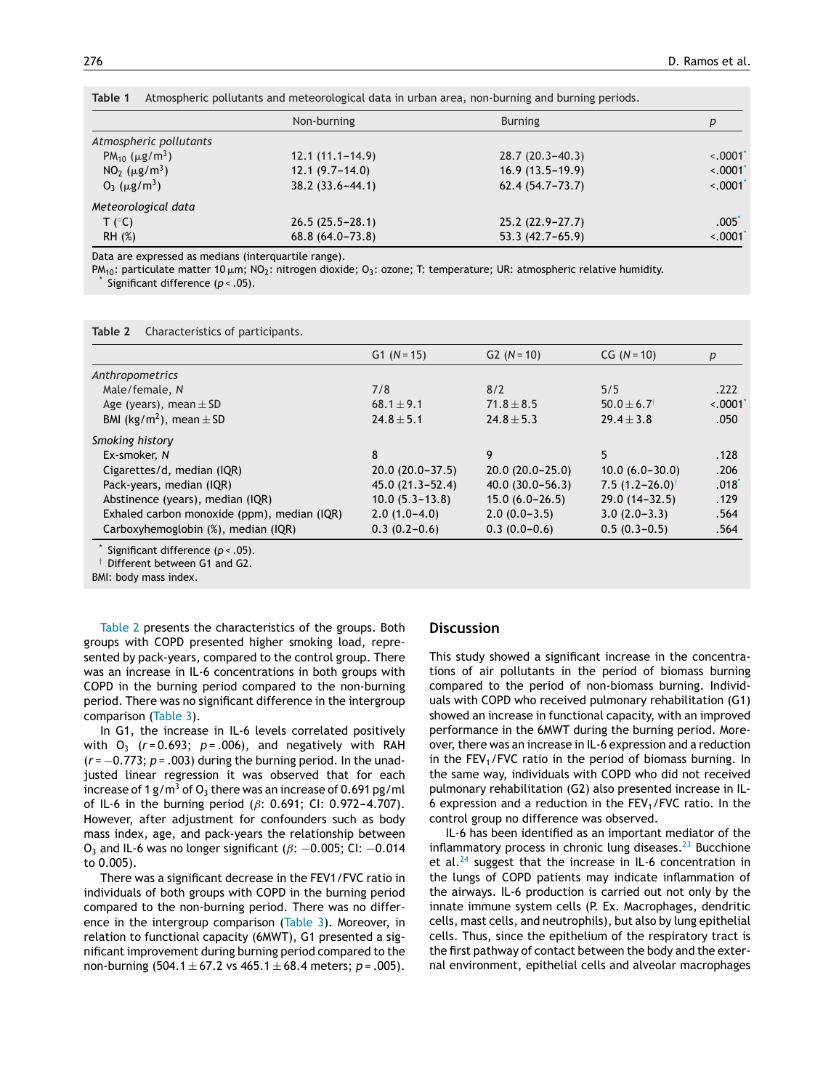|                                             | Non-burning         | <b>Burning</b>      | p                 |
|---------------------------------------------|---------------------|---------------------|-------------------|
| Atmospheric pollutants                      |                     |                     |                   |
| PM <sub>10</sub> ( $\mu$ g/m <sup>3</sup> ) | $12.1(11.1-14.9)$   | $28.7(20.3-40.3)$   | $\leq 0001$       |
| $NO2 (\mu g/m3)$                            | $12.1(9.7-14.0)$    | $16.9(13.5-19.9)$   | $\leq 0.0001$     |
| $O_3$ ( $\mu$ g/m <sup>3</sup> )            | $38.2(33.6 - 44.1)$ | $62.4(54.7 - 73.7)$ | $\leq 0.0001$     |
| Meteorological data                         |                     |                     |                   |
| T (°C)                                      | $26.5(25.5 - 28.1)$ | $25.2(22.9 - 27.7)$ | .005 <sup>°</sup> |
| RH (%)                                      | $68.8(64.0 - 73.8)$ | $53.3(42.7-65.9)$   | $\sim 0001$       |

<span id="page-3-0"></span>**Table 1** Atmospheric pollutants and meteorological data in urban area, non-burning and burning periods.

Data are expressed as medians (interquartile range).

PM<sub>10</sub>: particulate matter 10  $\mu$ m; NO<sub>2</sub>: nitrogen dioxide; O<sub>3</sub>: ozone; T: temperature; UR: atmospheric relative humidity.<br>\* Significant difference (*p* < .05).

**Table 2** Characteristics of participants.

|                                             | $G1 (N = 15)$       | $G2 (N = 10)$       | $CG (N = 10)$                | p        |
|---------------------------------------------|---------------------|---------------------|------------------------------|----------|
| Anthropometrics                             |                     |                     |                              |          |
| Male/female, N                              | 7/8                 | 8/2                 | 5/5                          | .222     |
| Age (years), mean $\pm$ SD                  | $68.1 \pm 9.1$      | $71.8 \pm 8.5$      | $50.0 + 6.7$ <sup>†</sup>    | $-.0001$ |
| BMI (kg/m <sup>2</sup> ), mean $\pm$ SD     | $24.8 \pm 5.1$      | $24.8 \pm 5.3$      | $29.4 \pm 3.8$               | .050     |
| Smoking history                             |                     |                     |                              |          |
| Ex-smoker, N                                | 8                   | 9                   | 5                            | .128     |
| Cigarettes/d, median (IQR)                  | $20.0(20.0-37.5)$   | $20.0(20.0-25.0)$   | $10.0 (6.0 - 30.0)$          | .206     |
| Pack-years, median (IQR)                    | $45.0(21.3 - 52.4)$ | $40.0(30.0 - 56.3)$ | 7.5 $(1.2 - 26.0)^{\dagger}$ | $.018^*$ |
| Abstinence (years), median (IQR)            | $10.0(5.3 - 13.8)$  | $15.0(6.0-26.5)$    | $29.0(14-32.5)$              | .129     |
| Exhaled carbon monoxide (ppm), median (IQR) | $2.0(1.0-4.0)$      | $2.0(0.0-3.5)$      | $3.0(2.0-3.3)$               | .564     |
| Carboxyhemoglobin (%), median (IQR)         | $0.3(0.2-0.6)$      | $0.3(0.0-0.6)$      | $0.5(0.3-0.5)$               | .564     |

Significant difference (*p* < .05).

† Different between G1 and G2.

BMI: body mass index.

Table 2 presents the characteristics of the groups. Both groups with COPD presented higher smoking load, represented by pack-years, compared to the control group. There was an increase in IL-6 concentrations in both groups with COPD in the burning period compared to the non-burning period. There was no significant difference in the intergroup comparison ([Table](#page-4-0) 3).

In G1, the increase in IL-6 levels correlated positively with  $O_3$  ( $r = 0.693$ ;  $p = .006$ ), and negatively with RAH (*r* = −0.773; *p* = .003) during the burning period. In the unadjusted linear regression it was observed that for each increase of 1 g/m<sup>3</sup> of  $O_3$  there was an increase of 0.691 pg/ml of IL-6 in the burning period ( $\beta$ : 0.691; CI: 0.972-4.707). However, after adjustment for confounders such as body mass index, age, and pack-years the relationship between O<sub>3</sub> and IL-6 was no longer significant ( $\beta$ : -0.005; CI: -0.014 to 0.005).

There was a significant decrease in the FEV1/FVC ratio in individuals of both groups with COPD in the burning period compared to the non-burning period. There was no difference in the intergroup comparison ([Table](#page-4-0) 3). Moreover, in relation to functional capacity (6MWT), G1 presented a significant improvement during burning period compared to the non-burning (504.1 ± 67.2 vs 465.1 ± 68.4 meters; *p* = .005).

#### **Discussion**

This study showed a significant increase in the concentrations of air pollutants in the period of biomass burning compared to the period of non-biomass burning. Individuals with COPD who received pulmonary rehabilitation (G1) showed an increase in functional capacity, with an improved performance in the 6MWT during the burning period. Moreover, there was an increase in IL-6 expression and a reduction in the  $FEV<sub>1</sub>/FVC$  ratio in the period of biomass burning. In the same way, individuals with COPD who did not received pulmonary rehabilitation (G2) also presented increase in IL-6 expression and a reduction in the  $FEV<sub>1</sub>/FVC$  ratio. In the control group no difference was observed.

IL-6 has been identified as an important mediator of the inflammatory process in chronic lung diseases. $^{23}$  $^{23}$  $^{23}$  Bucchione et al. $^{24}$  $^{24}$  $^{24}$  suggest that the increase in IL-6 concentration in the lungs of COPD patients may indicate inflammation of the airways. IL-6 production is carried out not only by the innate immune system cells (P. Ex. Macrophages, dendritic cells, mast cells, and neutrophils), but also by lung epithelial cells. Thus, since the epithelium of the respiratory tract is the first pathway of contact between the body and the external environment, epithelial cells and alveolar macrophages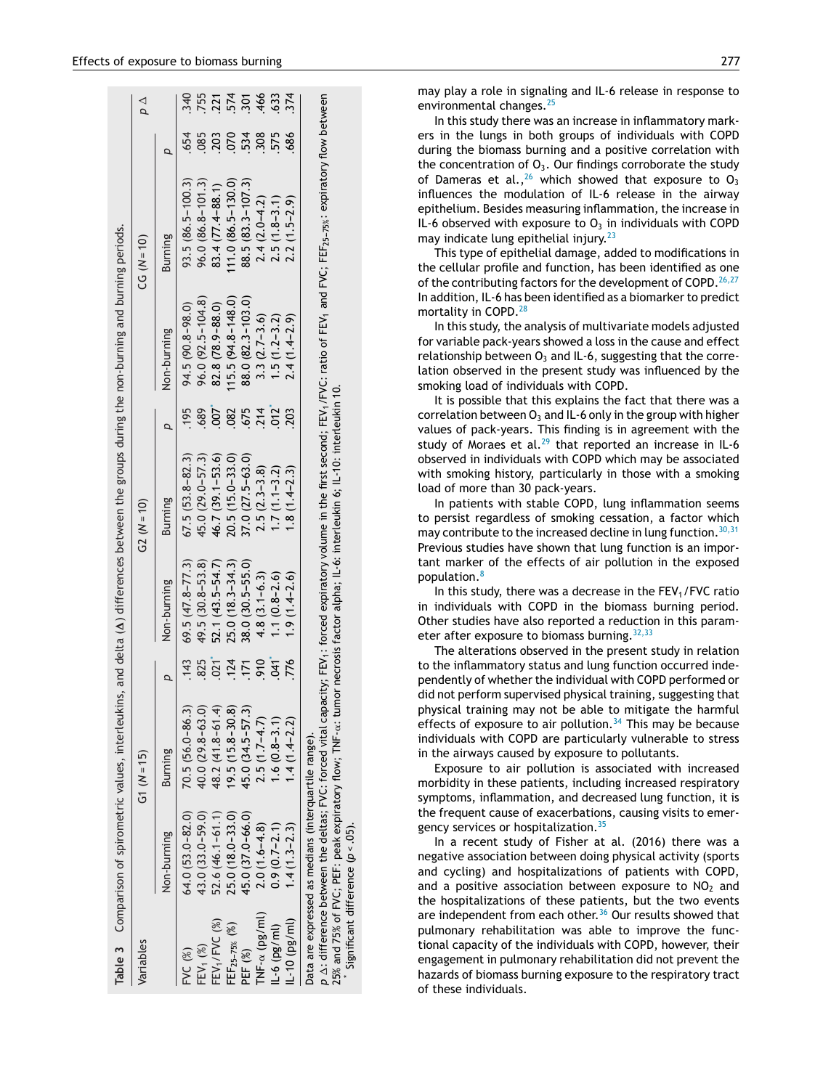<span id="page-4-0"></span>

|                           |                                                      |                     | Table 3 Comparison of spirometric values, interleukins,                                                                        |      |                     |                     |                  | and delta ( $\Delta$ ) differences between the groups during the non-burning and burning periods. |                                                                                                                                                                                                                                            |     |                               |
|---------------------------|------------------------------------------------------|---------------------|--------------------------------------------------------------------------------------------------------------------------------|------|---------------------|---------------------|------------------|---------------------------------------------------------------------------------------------------|--------------------------------------------------------------------------------------------------------------------------------------------------------------------------------------------------------------------------------------------|-----|-------------------------------|
| Variables                 |                                                      |                     | G1 $(N = 15)$                                                                                                                  |      |                     | $G2 (N = 10)$       |                  |                                                                                                   | $(CG (N = 10))$                                                                                                                                                                                                                            |     | ρΔ                            |
|                           | Non-burning                                          |                     | Burning                                                                                                                        |      | Non-burning         | <b>Burning</b>      |                  | Non-burning                                                                                       | <b>Burning</b>                                                                                                                                                                                                                             |     |                               |
| FVC(%)                    |                                                      | $64.0(53.0 - 82.0)$ | $70.5(56.0-86.3)$                                                                                                              | .143 | $69.5(47.8 - 77.3)$ | $67.5(53.8-82.3)$   | 195              | 94.5 (90.8-98.0)                                                                                  | $93.5(86.5 - 100.3)$                                                                                                                                                                                                                       | 654 | 340                           |
| FEV <sub>1</sub> (%)      |                                                      | 43.0 (33.0-59.0)    | $40.0(29.8 - 63.0)$                                                                                                            | 825  | 49.5 (30.8-53.8)    | 45.0 (29.0-57.3)    | 689              | $96.0(92.5 - 104.8)$                                                                              | $96.0(86.8 - 101.3)$                                                                                                                                                                                                                       | 085 |                               |
| FEV <sub>1</sub> /FVC (%) |                                                      | $52.6(46.1 - 61.1)$ | 48.2 (41.8-61.4)                                                                                                               | 021  | 52.1 (43.5-54.7)    | 46.7 (39.1-53.6)    | 007              | 82.8 (78.9-88.0)                                                                                  | 83.4 (77.4-88.1)                                                                                                                                                                                                                           | 203 | 755<br>2745, 346<br>3745, 346 |
| FEF <sub>25-75%</sub> (%) |                                                      | $25.0(18.0 - 33.0)$ | $19.5(15.8-30.8)$                                                                                                              | 124  | $25.0(18.3 - 34.3)$ | $20.5(15.0 - 33.0)$ | 082              | $(15.5(94.8 - 148.0))$                                                                            | $(11.0 (86.5 - 130.0))$                                                                                                                                                                                                                    | 070 |                               |
| PEF (%)                   |                                                      | 45.0 (37.0-66.0)    | 45.0 (34.5-57.3)                                                                                                               | .171 | 38.0 (30.5-55.0)    | 37.0 (27.5-63.0)    | 675              | 88.0 (82.3-103.0)                                                                                 | 88.5 (83.3-107.3)                                                                                                                                                                                                                          | 534 |                               |
| TNF- $\alpha$ (pg/ml)     |                                                      | $2.0(1.6-4.8)$      | $2.5(1.7-4.7)$                                                                                                                 | .910 | $4.8(3.1 - 6.3)$    | $2.5(2.3-3.8)$      | $.214$<br>$.012$ | $3.3(2.7 - 3.6)$                                                                                  | $2.4(2.0 - 4.2)$                                                                                                                                                                                                                           | 308 |                               |
| $11 - 6$ (pg/ml)          |                                                      | $0.9(0.7-2.1)$      | $1.6(0.8-3.1)$                                                                                                                 | 041  | $1.1(0.8-2.6)$      | $1.7(1.1-3.2)$      |                  | $1.5(1.2 - 3.2)$                                                                                  | $2.5(1.8-3.1)$                                                                                                                                                                                                                             | 575 | 633                           |
| $1 - 10$ (pg/ml)          |                                                      | $1.4(1.3-2.3)$      | $1.4(1.4 - 2.2)$                                                                                                               | 776  | $1.9(1.4-2.6)$      | $1.8(1.4-2.3)$      | 203              | $2.4(1.4 - 2.9)$                                                                                  | $2.2(1.5-2.9)$                                                                                                                                                                                                                             | 686 | 374                           |
|                           | Data are expressed as medians (interquartile range). |                     |                                                                                                                                |      |                     |                     |                  |                                                                                                   |                                                                                                                                                                                                                                            |     |                               |
|                           |                                                      |                     | 25% and 75% of FVC; PEF: peak expiratory flow; TNF-α: tumor necrosis factor alpha; IL-6: interleukin 6; IL-10: interleukin 10. |      |                     |                     |                  |                                                                                                   | p A: difference between the deltas; FVC: forced vital capacity; FEV <sub>1</sub> : forced expiratory volume in the first second; FEV <sub>1</sub> /FVC: ratio of FEV <sub>1</sub> and FVC; FEF <sub>25-75%</sub> : expiratory flow between |     |                               |
|                           | Significant difference $(p < 05)$ .                  |                     |                                                                                                                                |      |                     |                     |                  |                                                                                                   |                                                                                                                                                                                                                                            |     |                               |

may play a role in signaling and IL-6 release in response to environmental changes.<sup>[25](#page-5-0)</sup>

In this study there was an increase in inflammatory markers in the lungs in both groups of individuals with COPD during the biomass burning and a positive correlation with the concentration of  $O_3$ . Our findings corroborate the study of Dameras et al.,<sup>[26](#page-5-0)</sup> which showed that exposure to  $O_3$ influences the modulation of IL-6 release in the airway epithelium. Besides measuring inflammation, the increase in IL-6 observed with exposure to  $O_3$  in individuals with COPD may indicate lung epithelial injury. $^{23}$  $^{23}$  $^{23}$ 

This type of epithelial damage, added to modifications in the cellular profile and function, has been identified as one of the contributing factors for the development of COPD.<sup>[26,27](#page-5-0)</sup> In addition, IL-6 has been identified as a biomarkerto predict mortality in COPD.<sup>[28](#page-5-0)</sup>

In this study, the analysis of multivariate models adjusted for variable pack-years showed a loss in the cause and effect relationship between  $O_3$  and IL-6, suggesting that the correlation observed in the present study was influenced by the smoking load of individuals with COPD.

It is possible that this explains the fact that there was a correlation between  $O_3$  and IL-6 only in the group with higher values of pack-years. This finding is in agreement with the study of Moraes et al.<sup>[29](#page-5-0)</sup> that reported an increase in IL-6 observed in individuals with COPD which may be associated with smoking history, particularly in those with a smoking load of more than 30 pack-years.

In patients with stable COPD, lung inflammation seems to persist regardless of smoking cessation, a factor which may contribute to the increased decline in lung function.  $30,31$ Previous studies have shown that lung function is an important marker of the effects of air pollution in the exposed population. [8](#page-5-0)

In this study, there was a decrease in the FEV 1/FVC ratio in individuals with COPD in the biomass burning period. Other studies have also reported a reduction in this param-eter after exposure to biomass burning. [32,33](#page-6-0)

The alterations observed in the present study in relation to the inflammatory status and lung function occurred independently of whether the individual with COPD performed or did not perform supervised physical training, suggesting that physical training may not be able to mitigate the harmful effects of exposure to air pollution.<sup>[34](#page-6-0)</sup> This may be because individuals with COPD are particularly vulnerable to stress in the airways caused by exposure to pollutants.

Exposure to air pollution is associated with increased morbidity in these patients, including increased respiratory symptoms, inflammation, and decreased lung function, it is the frequent cause of exacerbations, causing visits to emer-gency services or hospitalization.<sup>[35](#page-6-0)</sup>

In a recent study of Fisher at al. (2016) there was a negative association between doing physical activity (sports and cycling) and hospitalizations of patients with COPD, and a positive association between exposure to  $NO<sub>2</sub>$  and the hospitalizations of these patients, but the two events are independent from each other.<sup>[36](#page-6-0)</sup> Our results showed that pulmonary rehabilitation was able to improve the functional capacity of the individuals with COPD, however, their engagement in pulmonary rehabilitation did not prevent the hazards of biomass burning exposure to the respiratory tract of these individuals.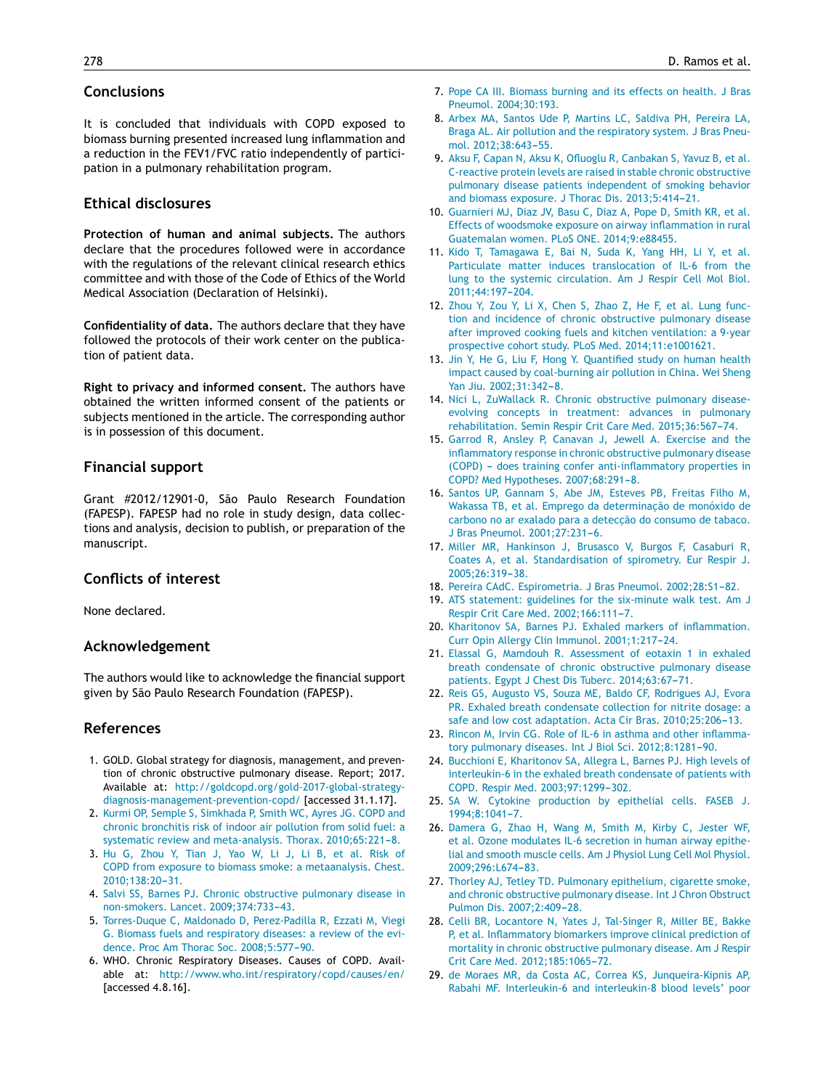## <span id="page-5-0"></span>**Conclusions**

It is concluded that individuals with COPD exposed to biomass burning presented increased lung inflammation and a reduction in the FEV1/FVC ratio independently of participation in a pulmonary rehabilitation program.

### **Ethical disclosures**

**Protection of human and animal subjects.** The authors declare that the procedures followed were in accordance with the regulations of the relevant clinical research ethics committee and with those of the Code of Ethics of the World Medical Association (Declaration of Helsinki).

**Confidentiality of data.** The authors declare that they have followed the protocols of their work center on the publication of patient data.

**Right to privacy and informed consent.** The authors have obtained the written informed consent of the patients or subjects mentioned in the article. The corresponding author is in possession of this document.

#### **Financial support**

Grant #2012/12901-0, São Paulo Research Foundation (FAPESP). FAPESP had no role in study design, data collections and analysis, decision to publish, or preparation of the manuscript.

# **Conflicts of interest**

None declared.

#### **Acknowledgement**

The authors would like to acknowledge the financial support given by São Paulo Research Foundation (FAPESP).

#### **References**

- 1. GOLD. Global strategy for diagnosis, management, and prevention of chronic obstructive pulmonary disease. Report; 2017. Available at: [http://goldcopd.org/gold-2017-global-strategy](http://goldcopd.org/gold-2017-global-strategy-diagnosis-management-prevention-copd/)[diagnosis-management-prevention-copd/](http://goldcopd.org/gold-2017-global-strategy-diagnosis-management-prevention-copd/) [accessed 31.1.17].
- 2. [Kurmi](http://refhub.elsevier.com/S2173-5115(17)30067-2/sbref0190) [OP,](http://refhub.elsevier.com/S2173-5115(17)30067-2/sbref0190) [Semple](http://refhub.elsevier.com/S2173-5115(17)30067-2/sbref0190) [S,](http://refhub.elsevier.com/S2173-5115(17)30067-2/sbref0190) [Simkhada](http://refhub.elsevier.com/S2173-5115(17)30067-2/sbref0190) [P,](http://refhub.elsevier.com/S2173-5115(17)30067-2/sbref0190) [Smith](http://refhub.elsevier.com/S2173-5115(17)30067-2/sbref0190) [WC,](http://refhub.elsevier.com/S2173-5115(17)30067-2/sbref0190) [Ayres](http://refhub.elsevier.com/S2173-5115(17)30067-2/sbref0190) [JG.](http://refhub.elsevier.com/S2173-5115(17)30067-2/sbref0190) [COPD](http://refhub.elsevier.com/S2173-5115(17)30067-2/sbref0190) [and](http://refhub.elsevier.com/S2173-5115(17)30067-2/sbref0190) [chronic](http://refhub.elsevier.com/S2173-5115(17)30067-2/sbref0190) [bronchitis](http://refhub.elsevier.com/S2173-5115(17)30067-2/sbref0190) [risk](http://refhub.elsevier.com/S2173-5115(17)30067-2/sbref0190) [of](http://refhub.elsevier.com/S2173-5115(17)30067-2/sbref0190) [indoor](http://refhub.elsevier.com/S2173-5115(17)30067-2/sbref0190) [air](http://refhub.elsevier.com/S2173-5115(17)30067-2/sbref0190) [pollution](http://refhub.elsevier.com/S2173-5115(17)30067-2/sbref0190) [from](http://refhub.elsevier.com/S2173-5115(17)30067-2/sbref0190) [solid](http://refhub.elsevier.com/S2173-5115(17)30067-2/sbref0190) [fuel:](http://refhub.elsevier.com/S2173-5115(17)30067-2/sbref0190) [a](http://refhub.elsevier.com/S2173-5115(17)30067-2/sbref0190) [systematic](http://refhub.elsevier.com/S2173-5115(17)30067-2/sbref0190) [review](http://refhub.elsevier.com/S2173-5115(17)30067-2/sbref0190) [and](http://refhub.elsevier.com/S2173-5115(17)30067-2/sbref0190) [meta-analysis.](http://refhub.elsevier.com/S2173-5115(17)30067-2/sbref0190) [Thorax.](http://refhub.elsevier.com/S2173-5115(17)30067-2/sbref0190) [2010;65:221](http://refhub.elsevier.com/S2173-5115(17)30067-2/sbref0190)-[8.](http://refhub.elsevier.com/S2173-5115(17)30067-2/sbref0190)
- 3. [Hu](http://refhub.elsevier.com/S2173-5115(17)30067-2/sbref0195) [G,](http://refhub.elsevier.com/S2173-5115(17)30067-2/sbref0195) [Zhou](http://refhub.elsevier.com/S2173-5115(17)30067-2/sbref0195) [Y,](http://refhub.elsevier.com/S2173-5115(17)30067-2/sbref0195) [Tian](http://refhub.elsevier.com/S2173-5115(17)30067-2/sbref0195) [J,](http://refhub.elsevier.com/S2173-5115(17)30067-2/sbref0195) [Yao](http://refhub.elsevier.com/S2173-5115(17)30067-2/sbref0195) [W,](http://refhub.elsevier.com/S2173-5115(17)30067-2/sbref0195) [Li](http://refhub.elsevier.com/S2173-5115(17)30067-2/sbref0195) [J,](http://refhub.elsevier.com/S2173-5115(17)30067-2/sbref0195) [Li](http://refhub.elsevier.com/S2173-5115(17)30067-2/sbref0195) [B,](http://refhub.elsevier.com/S2173-5115(17)30067-2/sbref0195) [et](http://refhub.elsevier.com/S2173-5115(17)30067-2/sbref0195) [al.](http://refhub.elsevier.com/S2173-5115(17)30067-2/sbref0195) [Risk](http://refhub.elsevier.com/S2173-5115(17)30067-2/sbref0195) [of](http://refhub.elsevier.com/S2173-5115(17)30067-2/sbref0195) [COPD](http://refhub.elsevier.com/S2173-5115(17)30067-2/sbref0195) [from](http://refhub.elsevier.com/S2173-5115(17)30067-2/sbref0195) [exposure](http://refhub.elsevier.com/S2173-5115(17)30067-2/sbref0195) [to](http://refhub.elsevier.com/S2173-5115(17)30067-2/sbref0195) [biomass](http://refhub.elsevier.com/S2173-5115(17)30067-2/sbref0195) [smoke:](http://refhub.elsevier.com/S2173-5115(17)30067-2/sbref0195) [a](http://refhub.elsevier.com/S2173-5115(17)30067-2/sbref0195) [metaanalysis.](http://refhub.elsevier.com/S2173-5115(17)30067-2/sbref0195) [Chest.](http://refhub.elsevier.com/S2173-5115(17)30067-2/sbref0195) 2010:138:20-31.
- 4. [Salvi](http://refhub.elsevier.com/S2173-5115(17)30067-2/sbref0200) [SS,](http://refhub.elsevier.com/S2173-5115(17)30067-2/sbref0200) [Barnes](http://refhub.elsevier.com/S2173-5115(17)30067-2/sbref0200) [PJ.](http://refhub.elsevier.com/S2173-5115(17)30067-2/sbref0200) [Chronic](http://refhub.elsevier.com/S2173-5115(17)30067-2/sbref0200) [obstructive](http://refhub.elsevier.com/S2173-5115(17)30067-2/sbref0200) [pulmonary](http://refhub.elsevier.com/S2173-5115(17)30067-2/sbref0200) [disease](http://refhub.elsevier.com/S2173-5115(17)30067-2/sbref0200) [in](http://refhub.elsevier.com/S2173-5115(17)30067-2/sbref0200) [non-smokers.](http://refhub.elsevier.com/S2173-5115(17)30067-2/sbref0200) [Lancet.](http://refhub.elsevier.com/S2173-5115(17)30067-2/sbref0200) 2009;374:733-43.
- 5. [Torres-Duque](http://refhub.elsevier.com/S2173-5115(17)30067-2/sbref0205) [C,](http://refhub.elsevier.com/S2173-5115(17)30067-2/sbref0205) [Maldonado](http://refhub.elsevier.com/S2173-5115(17)30067-2/sbref0205) [D,](http://refhub.elsevier.com/S2173-5115(17)30067-2/sbref0205) [Perez-Padilla](http://refhub.elsevier.com/S2173-5115(17)30067-2/sbref0205) [R,](http://refhub.elsevier.com/S2173-5115(17)30067-2/sbref0205) [Ezzati](http://refhub.elsevier.com/S2173-5115(17)30067-2/sbref0205) [M,](http://refhub.elsevier.com/S2173-5115(17)30067-2/sbref0205) [Viegi](http://refhub.elsevier.com/S2173-5115(17)30067-2/sbref0205) [G.](http://refhub.elsevier.com/S2173-5115(17)30067-2/sbref0205) [Biomass](http://refhub.elsevier.com/S2173-5115(17)30067-2/sbref0205) [fuels](http://refhub.elsevier.com/S2173-5115(17)30067-2/sbref0205) [and](http://refhub.elsevier.com/S2173-5115(17)30067-2/sbref0205) [respiratory](http://refhub.elsevier.com/S2173-5115(17)30067-2/sbref0205) [diseases:](http://refhub.elsevier.com/S2173-5115(17)30067-2/sbref0205) [a](http://refhub.elsevier.com/S2173-5115(17)30067-2/sbref0205) [review](http://refhub.elsevier.com/S2173-5115(17)30067-2/sbref0205) [of](http://refhub.elsevier.com/S2173-5115(17)30067-2/sbref0205) [the](http://refhub.elsevier.com/S2173-5115(17)30067-2/sbref0205) [evi](http://refhub.elsevier.com/S2173-5115(17)30067-2/sbref0205)[dence.](http://refhub.elsevier.com/S2173-5115(17)30067-2/sbref0205) [Proc](http://refhub.elsevier.com/S2173-5115(17)30067-2/sbref0205) [Am](http://refhub.elsevier.com/S2173-5115(17)30067-2/sbref0205) [Thorac](http://refhub.elsevier.com/S2173-5115(17)30067-2/sbref0205) [Soc.](http://refhub.elsevier.com/S2173-5115(17)30067-2/sbref0205) 2008;5:577-90.
- 6. WHO. Chronic Respiratory Diseases. Causes of COPD. Available at: <http://www.who.int/respiratory/copd/causes/en/> [accessed 4.8.16].
- 7. [Pope](http://refhub.elsevier.com/S2173-5115(17)30067-2/sbref0215) [CA](http://refhub.elsevier.com/S2173-5115(17)30067-2/sbref0215) [III.](http://refhub.elsevier.com/S2173-5115(17)30067-2/sbref0215) [Biomass](http://refhub.elsevier.com/S2173-5115(17)30067-2/sbref0215) [burning](http://refhub.elsevier.com/S2173-5115(17)30067-2/sbref0215) [and](http://refhub.elsevier.com/S2173-5115(17)30067-2/sbref0215) [its](http://refhub.elsevier.com/S2173-5115(17)30067-2/sbref0215) [effects](http://refhub.elsevier.com/S2173-5115(17)30067-2/sbref0215) [on](http://refhub.elsevier.com/S2173-5115(17)30067-2/sbref0215) [health.](http://refhub.elsevier.com/S2173-5115(17)30067-2/sbref0215) [J](http://refhub.elsevier.com/S2173-5115(17)30067-2/sbref0215) [Bras](http://refhub.elsevier.com/S2173-5115(17)30067-2/sbref0215) [Pneumol.](http://refhub.elsevier.com/S2173-5115(17)30067-2/sbref0215) [2004;30:193.](http://refhub.elsevier.com/S2173-5115(17)30067-2/sbref0215)
- 8. [Arbex](http://refhub.elsevier.com/S2173-5115(17)30067-2/sbref0220) [MA,](http://refhub.elsevier.com/S2173-5115(17)30067-2/sbref0220) [Santos](http://refhub.elsevier.com/S2173-5115(17)30067-2/sbref0220) [Ude](http://refhub.elsevier.com/S2173-5115(17)30067-2/sbref0220) [P,](http://refhub.elsevier.com/S2173-5115(17)30067-2/sbref0220) [Martins](http://refhub.elsevier.com/S2173-5115(17)30067-2/sbref0220) [LC,](http://refhub.elsevier.com/S2173-5115(17)30067-2/sbref0220) [Saldiva](http://refhub.elsevier.com/S2173-5115(17)30067-2/sbref0220) [PH,](http://refhub.elsevier.com/S2173-5115(17)30067-2/sbref0220) [Pereira](http://refhub.elsevier.com/S2173-5115(17)30067-2/sbref0220) [LA,](http://refhub.elsevier.com/S2173-5115(17)30067-2/sbref0220) [Braga](http://refhub.elsevier.com/S2173-5115(17)30067-2/sbref0220) [AL.](http://refhub.elsevier.com/S2173-5115(17)30067-2/sbref0220) [Air](http://refhub.elsevier.com/S2173-5115(17)30067-2/sbref0220) [pollution](http://refhub.elsevier.com/S2173-5115(17)30067-2/sbref0220) [and](http://refhub.elsevier.com/S2173-5115(17)30067-2/sbref0220) [the](http://refhub.elsevier.com/S2173-5115(17)30067-2/sbref0220) [respiratory](http://refhub.elsevier.com/S2173-5115(17)30067-2/sbref0220) [system.](http://refhub.elsevier.com/S2173-5115(17)30067-2/sbref0220) [J](http://refhub.elsevier.com/S2173-5115(17)30067-2/sbref0220) [Bras](http://refhub.elsevier.com/S2173-5115(17)30067-2/sbref0220) [Pneu](http://refhub.elsevier.com/S2173-5115(17)30067-2/sbref0220)[mol.](http://refhub.elsevier.com/S2173-5115(17)30067-2/sbref0220) 2012;38:643-55.
- 9. [Aksu](http://refhub.elsevier.com/S2173-5115(17)30067-2/sbref0225) [F,](http://refhub.elsevier.com/S2173-5115(17)30067-2/sbref0225) [Capan](http://refhub.elsevier.com/S2173-5115(17)30067-2/sbref0225) [N,](http://refhub.elsevier.com/S2173-5115(17)30067-2/sbref0225) [Aksu](http://refhub.elsevier.com/S2173-5115(17)30067-2/sbref0225) [K,](http://refhub.elsevier.com/S2173-5115(17)30067-2/sbref0225) [Ofluoglu](http://refhub.elsevier.com/S2173-5115(17)30067-2/sbref0225) [R,](http://refhub.elsevier.com/S2173-5115(17)30067-2/sbref0225) [Canbakan](http://refhub.elsevier.com/S2173-5115(17)30067-2/sbref0225) [S,](http://refhub.elsevier.com/S2173-5115(17)30067-2/sbref0225) [Yavuz](http://refhub.elsevier.com/S2173-5115(17)30067-2/sbref0225) [B,](http://refhub.elsevier.com/S2173-5115(17)30067-2/sbref0225) [et](http://refhub.elsevier.com/S2173-5115(17)30067-2/sbref0225) [al.](http://refhub.elsevier.com/S2173-5115(17)30067-2/sbref0225) [C-reactive](http://refhub.elsevier.com/S2173-5115(17)30067-2/sbref0225) [protein](http://refhub.elsevier.com/S2173-5115(17)30067-2/sbref0225) [levels](http://refhub.elsevier.com/S2173-5115(17)30067-2/sbref0225) [are](http://refhub.elsevier.com/S2173-5115(17)30067-2/sbref0225) [raised](http://refhub.elsevier.com/S2173-5115(17)30067-2/sbref0225) [in](http://refhub.elsevier.com/S2173-5115(17)30067-2/sbref0225) [stable](http://refhub.elsevier.com/S2173-5115(17)30067-2/sbref0225) [chronic](http://refhub.elsevier.com/S2173-5115(17)30067-2/sbref0225) [obstructive](http://refhub.elsevier.com/S2173-5115(17)30067-2/sbref0225) [pulmonary](http://refhub.elsevier.com/S2173-5115(17)30067-2/sbref0225) [disease](http://refhub.elsevier.com/S2173-5115(17)30067-2/sbref0225) [patients](http://refhub.elsevier.com/S2173-5115(17)30067-2/sbref0225) [independent](http://refhub.elsevier.com/S2173-5115(17)30067-2/sbref0225) [of](http://refhub.elsevier.com/S2173-5115(17)30067-2/sbref0225) [smoking](http://refhub.elsevier.com/S2173-5115(17)30067-2/sbref0225) [behavior](http://refhub.elsevier.com/S2173-5115(17)30067-2/sbref0225) [and](http://refhub.elsevier.com/S2173-5115(17)30067-2/sbref0225) [biomass](http://refhub.elsevier.com/S2173-5115(17)30067-2/sbref0225) [exposure.](http://refhub.elsevier.com/S2173-5115(17)30067-2/sbref0225) [J](http://refhub.elsevier.com/S2173-5115(17)30067-2/sbref0225) [Thorac](http://refhub.elsevier.com/S2173-5115(17)30067-2/sbref0225) [Dis.](http://refhub.elsevier.com/S2173-5115(17)30067-2/sbref0225) 2013;5:414-21.
- 10. [Guarnieri](http://refhub.elsevier.com/S2173-5115(17)30067-2/sbref0230) [MJ,](http://refhub.elsevier.com/S2173-5115(17)30067-2/sbref0230) [Diaz](http://refhub.elsevier.com/S2173-5115(17)30067-2/sbref0230) [JV,](http://refhub.elsevier.com/S2173-5115(17)30067-2/sbref0230) [Basu](http://refhub.elsevier.com/S2173-5115(17)30067-2/sbref0230) [C,](http://refhub.elsevier.com/S2173-5115(17)30067-2/sbref0230) [Diaz](http://refhub.elsevier.com/S2173-5115(17)30067-2/sbref0230) [A,](http://refhub.elsevier.com/S2173-5115(17)30067-2/sbref0230) [Pope](http://refhub.elsevier.com/S2173-5115(17)30067-2/sbref0230) [D,](http://refhub.elsevier.com/S2173-5115(17)30067-2/sbref0230) [Smith](http://refhub.elsevier.com/S2173-5115(17)30067-2/sbref0230) [KR,](http://refhub.elsevier.com/S2173-5115(17)30067-2/sbref0230) [et](http://refhub.elsevier.com/S2173-5115(17)30067-2/sbref0230) [al.](http://refhub.elsevier.com/S2173-5115(17)30067-2/sbref0230) [Effects](http://refhub.elsevier.com/S2173-5115(17)30067-2/sbref0230) [of](http://refhub.elsevier.com/S2173-5115(17)30067-2/sbref0230) [woodsmoke](http://refhub.elsevier.com/S2173-5115(17)30067-2/sbref0230) [exposure](http://refhub.elsevier.com/S2173-5115(17)30067-2/sbref0230) [on](http://refhub.elsevier.com/S2173-5115(17)30067-2/sbref0230) [airway](http://refhub.elsevier.com/S2173-5115(17)30067-2/sbref0230) [inflammation](http://refhub.elsevier.com/S2173-5115(17)30067-2/sbref0230) [in](http://refhub.elsevier.com/S2173-5115(17)30067-2/sbref0230) [rural](http://refhub.elsevier.com/S2173-5115(17)30067-2/sbref0230) [Guatemalan](http://refhub.elsevier.com/S2173-5115(17)30067-2/sbref0230) [women.](http://refhub.elsevier.com/S2173-5115(17)30067-2/sbref0230) [PLoS](http://refhub.elsevier.com/S2173-5115(17)30067-2/sbref0230) [ONE.](http://refhub.elsevier.com/S2173-5115(17)30067-2/sbref0230) [2014;9:e88455.](http://refhub.elsevier.com/S2173-5115(17)30067-2/sbref0230)
- 11. [Kido](http://refhub.elsevier.com/S2173-5115(17)30067-2/sbref0235) [T,](http://refhub.elsevier.com/S2173-5115(17)30067-2/sbref0235) [Tamagawa](http://refhub.elsevier.com/S2173-5115(17)30067-2/sbref0235) [E,](http://refhub.elsevier.com/S2173-5115(17)30067-2/sbref0235) [Bai](http://refhub.elsevier.com/S2173-5115(17)30067-2/sbref0235) [N,](http://refhub.elsevier.com/S2173-5115(17)30067-2/sbref0235) [Suda](http://refhub.elsevier.com/S2173-5115(17)30067-2/sbref0235) [K,](http://refhub.elsevier.com/S2173-5115(17)30067-2/sbref0235) [Yang](http://refhub.elsevier.com/S2173-5115(17)30067-2/sbref0235) [HH,](http://refhub.elsevier.com/S2173-5115(17)30067-2/sbref0235) [Li](http://refhub.elsevier.com/S2173-5115(17)30067-2/sbref0235) [Y,](http://refhub.elsevier.com/S2173-5115(17)30067-2/sbref0235) [et](http://refhub.elsevier.com/S2173-5115(17)30067-2/sbref0235) [al.](http://refhub.elsevier.com/S2173-5115(17)30067-2/sbref0235) [Particulate](http://refhub.elsevier.com/S2173-5115(17)30067-2/sbref0235) [matter](http://refhub.elsevier.com/S2173-5115(17)30067-2/sbref0235) [induces](http://refhub.elsevier.com/S2173-5115(17)30067-2/sbref0235) [translocation](http://refhub.elsevier.com/S2173-5115(17)30067-2/sbref0235) [of](http://refhub.elsevier.com/S2173-5115(17)30067-2/sbref0235) [IL-6](http://refhub.elsevier.com/S2173-5115(17)30067-2/sbref0235) [from](http://refhub.elsevier.com/S2173-5115(17)30067-2/sbref0235) [the](http://refhub.elsevier.com/S2173-5115(17)30067-2/sbref0235) [lung](http://refhub.elsevier.com/S2173-5115(17)30067-2/sbref0235) [to](http://refhub.elsevier.com/S2173-5115(17)30067-2/sbref0235) [the](http://refhub.elsevier.com/S2173-5115(17)30067-2/sbref0235) [systemic](http://refhub.elsevier.com/S2173-5115(17)30067-2/sbref0235) [circulation.](http://refhub.elsevier.com/S2173-5115(17)30067-2/sbref0235) [Am](http://refhub.elsevier.com/S2173-5115(17)30067-2/sbref0235) [J](http://refhub.elsevier.com/S2173-5115(17)30067-2/sbref0235) [Respir](http://refhub.elsevier.com/S2173-5115(17)30067-2/sbref0235) [Cell](http://refhub.elsevier.com/S2173-5115(17)30067-2/sbref0235) [Mol](http://refhub.elsevier.com/S2173-5115(17)30067-2/sbref0235) [Biol.](http://refhub.elsevier.com/S2173-5115(17)30067-2/sbref0235) [2011;44:197-](http://refhub.elsevier.com/S2173-5115(17)30067-2/sbref0235)[204.](http://refhub.elsevier.com/S2173-5115(17)30067-2/sbref0235)
- 12. [Zhou](http://refhub.elsevier.com/S2173-5115(17)30067-2/sbref0240) [Y,](http://refhub.elsevier.com/S2173-5115(17)30067-2/sbref0240) [Zou](http://refhub.elsevier.com/S2173-5115(17)30067-2/sbref0240) [Y,](http://refhub.elsevier.com/S2173-5115(17)30067-2/sbref0240) [Li](http://refhub.elsevier.com/S2173-5115(17)30067-2/sbref0240) [X,](http://refhub.elsevier.com/S2173-5115(17)30067-2/sbref0240) [Chen](http://refhub.elsevier.com/S2173-5115(17)30067-2/sbref0240) [S,](http://refhub.elsevier.com/S2173-5115(17)30067-2/sbref0240) [Zhao](http://refhub.elsevier.com/S2173-5115(17)30067-2/sbref0240) [Z,](http://refhub.elsevier.com/S2173-5115(17)30067-2/sbref0240) [He](http://refhub.elsevier.com/S2173-5115(17)30067-2/sbref0240) [F,](http://refhub.elsevier.com/S2173-5115(17)30067-2/sbref0240) [et](http://refhub.elsevier.com/S2173-5115(17)30067-2/sbref0240) [al.](http://refhub.elsevier.com/S2173-5115(17)30067-2/sbref0240) [Lung](http://refhub.elsevier.com/S2173-5115(17)30067-2/sbref0240) [func](http://refhub.elsevier.com/S2173-5115(17)30067-2/sbref0240)[tion](http://refhub.elsevier.com/S2173-5115(17)30067-2/sbref0240) [and](http://refhub.elsevier.com/S2173-5115(17)30067-2/sbref0240) [incidence](http://refhub.elsevier.com/S2173-5115(17)30067-2/sbref0240) [of](http://refhub.elsevier.com/S2173-5115(17)30067-2/sbref0240) [chronic](http://refhub.elsevier.com/S2173-5115(17)30067-2/sbref0240) [obstructive](http://refhub.elsevier.com/S2173-5115(17)30067-2/sbref0240) [pulmonary](http://refhub.elsevier.com/S2173-5115(17)30067-2/sbref0240) [disease](http://refhub.elsevier.com/S2173-5115(17)30067-2/sbref0240) [after](http://refhub.elsevier.com/S2173-5115(17)30067-2/sbref0240) [improved](http://refhub.elsevier.com/S2173-5115(17)30067-2/sbref0240) [cooking](http://refhub.elsevier.com/S2173-5115(17)30067-2/sbref0240) [fuels](http://refhub.elsevier.com/S2173-5115(17)30067-2/sbref0240) [and](http://refhub.elsevier.com/S2173-5115(17)30067-2/sbref0240) [kitchen](http://refhub.elsevier.com/S2173-5115(17)30067-2/sbref0240) [ventilation:](http://refhub.elsevier.com/S2173-5115(17)30067-2/sbref0240) [a](http://refhub.elsevier.com/S2173-5115(17)30067-2/sbref0240) [9-year](http://refhub.elsevier.com/S2173-5115(17)30067-2/sbref0240) [prospective](http://refhub.elsevier.com/S2173-5115(17)30067-2/sbref0240) [cohort](http://refhub.elsevier.com/S2173-5115(17)30067-2/sbref0240) [study.](http://refhub.elsevier.com/S2173-5115(17)30067-2/sbref0240) [PLoS](http://refhub.elsevier.com/S2173-5115(17)30067-2/sbref0240) [Med.](http://refhub.elsevier.com/S2173-5115(17)30067-2/sbref0240) [2014;11:e1001621.](http://refhub.elsevier.com/S2173-5115(17)30067-2/sbref0240)
- 13. [Jin](http://refhub.elsevier.com/S2173-5115(17)30067-2/sbref0245) [Y,](http://refhub.elsevier.com/S2173-5115(17)30067-2/sbref0245) [He](http://refhub.elsevier.com/S2173-5115(17)30067-2/sbref0245) [G,](http://refhub.elsevier.com/S2173-5115(17)30067-2/sbref0245) [Liu](http://refhub.elsevier.com/S2173-5115(17)30067-2/sbref0245) [F,](http://refhub.elsevier.com/S2173-5115(17)30067-2/sbref0245) [Hong](http://refhub.elsevier.com/S2173-5115(17)30067-2/sbref0245) [Y.](http://refhub.elsevier.com/S2173-5115(17)30067-2/sbref0245) [Quantified](http://refhub.elsevier.com/S2173-5115(17)30067-2/sbref0245) [study](http://refhub.elsevier.com/S2173-5115(17)30067-2/sbref0245) [on](http://refhub.elsevier.com/S2173-5115(17)30067-2/sbref0245) [human](http://refhub.elsevier.com/S2173-5115(17)30067-2/sbref0245) [health](http://refhub.elsevier.com/S2173-5115(17)30067-2/sbref0245) [impact](http://refhub.elsevier.com/S2173-5115(17)30067-2/sbref0245) [caused](http://refhub.elsevier.com/S2173-5115(17)30067-2/sbref0245) [by](http://refhub.elsevier.com/S2173-5115(17)30067-2/sbref0245) [coal-burning](http://refhub.elsevier.com/S2173-5115(17)30067-2/sbref0245) [air](http://refhub.elsevier.com/S2173-5115(17)30067-2/sbref0245) [pollution](http://refhub.elsevier.com/S2173-5115(17)30067-2/sbref0245) [in](http://refhub.elsevier.com/S2173-5115(17)30067-2/sbref0245) [China.](http://refhub.elsevier.com/S2173-5115(17)30067-2/sbref0245) [Wei](http://refhub.elsevier.com/S2173-5115(17)30067-2/sbref0245) [Sheng](http://refhub.elsevier.com/S2173-5115(17)30067-2/sbref0245) [Yan](http://refhub.elsevier.com/S2173-5115(17)30067-2/sbref0245) [Jiu.](http://refhub.elsevier.com/S2173-5115(17)30067-2/sbref0245) 2002;31:342-8.
- 14. [Nici](http://refhub.elsevier.com/S2173-5115(17)30067-2/sbref0250) [L,](http://refhub.elsevier.com/S2173-5115(17)30067-2/sbref0250) [ZuWallack](http://refhub.elsevier.com/S2173-5115(17)30067-2/sbref0250) [R.](http://refhub.elsevier.com/S2173-5115(17)30067-2/sbref0250) [Chronic](http://refhub.elsevier.com/S2173-5115(17)30067-2/sbref0250) [obstructive](http://refhub.elsevier.com/S2173-5115(17)30067-2/sbref0250) [pulmonary](http://refhub.elsevier.com/S2173-5115(17)30067-2/sbref0250) [disease](http://refhub.elsevier.com/S2173-5115(17)30067-2/sbref0250)[evolving](http://refhub.elsevier.com/S2173-5115(17)30067-2/sbref0250) [concepts](http://refhub.elsevier.com/S2173-5115(17)30067-2/sbref0250) [in](http://refhub.elsevier.com/S2173-5115(17)30067-2/sbref0250) [treatment:](http://refhub.elsevier.com/S2173-5115(17)30067-2/sbref0250) [advances](http://refhub.elsevier.com/S2173-5115(17)30067-2/sbref0250) [in](http://refhub.elsevier.com/S2173-5115(17)30067-2/sbref0250) [pulmonary](http://refhub.elsevier.com/S2173-5115(17)30067-2/sbref0250) [rehabilitation.](http://refhub.elsevier.com/S2173-5115(17)30067-2/sbref0250) [Semin](http://refhub.elsevier.com/S2173-5115(17)30067-2/sbref0250) [Respir](http://refhub.elsevier.com/S2173-5115(17)30067-2/sbref0250) [Crit](http://refhub.elsevier.com/S2173-5115(17)30067-2/sbref0250) [Care](http://refhub.elsevier.com/S2173-5115(17)30067-2/sbref0250) [Med.](http://refhub.elsevier.com/S2173-5115(17)30067-2/sbref0250) 2015;36:567-74.
- 15. [Garrod](http://refhub.elsevier.com/S2173-5115(17)30067-2/sbref0255) [R,](http://refhub.elsevier.com/S2173-5115(17)30067-2/sbref0255) [Ansley](http://refhub.elsevier.com/S2173-5115(17)30067-2/sbref0255) [P,](http://refhub.elsevier.com/S2173-5115(17)30067-2/sbref0255) [Canavan](http://refhub.elsevier.com/S2173-5115(17)30067-2/sbref0255) [J,](http://refhub.elsevier.com/S2173-5115(17)30067-2/sbref0255) [Jewell](http://refhub.elsevier.com/S2173-5115(17)30067-2/sbref0255) [A.](http://refhub.elsevier.com/S2173-5115(17)30067-2/sbref0255) [Exercise](http://refhub.elsevier.com/S2173-5115(17)30067-2/sbref0255) [and](http://refhub.elsevier.com/S2173-5115(17)30067-2/sbref0255) [the](http://refhub.elsevier.com/S2173-5115(17)30067-2/sbref0255) [inflammatory](http://refhub.elsevier.com/S2173-5115(17)30067-2/sbref0255) [response](http://refhub.elsevier.com/S2173-5115(17)30067-2/sbref0255) [in](http://refhub.elsevier.com/S2173-5115(17)30067-2/sbref0255) [chronic](http://refhub.elsevier.com/S2173-5115(17)30067-2/sbref0255) [obstructive](http://refhub.elsevier.com/S2173-5115(17)30067-2/sbref0255) [pulmonary](http://refhub.elsevier.com/S2173-5115(17)30067-2/sbref0255) [disease](http://refhub.elsevier.com/S2173-5115(17)30067-2/sbref0255) [\(COPD\)](http://refhub.elsevier.com/S2173-5115(17)30067-2/sbref0255) - [does](http://refhub.elsevier.com/S2173-5115(17)30067-2/sbref0255) [training](http://refhub.elsevier.com/S2173-5115(17)30067-2/sbref0255) [confer](http://refhub.elsevier.com/S2173-5115(17)30067-2/sbref0255) [anti-inflammatory](http://refhub.elsevier.com/S2173-5115(17)30067-2/sbref0255) [properties](http://refhub.elsevier.com/S2173-5115(17)30067-2/sbref0255) [in](http://refhub.elsevier.com/S2173-5115(17)30067-2/sbref0255) [COPD?](http://refhub.elsevier.com/S2173-5115(17)30067-2/sbref0255) [Med](http://refhub.elsevier.com/S2173-5115(17)30067-2/sbref0255) [Hypotheses.](http://refhub.elsevier.com/S2173-5115(17)30067-2/sbref0255) 2007;68:291-8.
- 16. [Santos](http://refhub.elsevier.com/S2173-5115(17)30067-2/sbref0260) [UP,](http://refhub.elsevier.com/S2173-5115(17)30067-2/sbref0260) [Gannam](http://refhub.elsevier.com/S2173-5115(17)30067-2/sbref0260) [S,](http://refhub.elsevier.com/S2173-5115(17)30067-2/sbref0260) [Abe](http://refhub.elsevier.com/S2173-5115(17)30067-2/sbref0260) [JM,](http://refhub.elsevier.com/S2173-5115(17)30067-2/sbref0260) [Esteves](http://refhub.elsevier.com/S2173-5115(17)30067-2/sbref0260) [PB,](http://refhub.elsevier.com/S2173-5115(17)30067-2/sbref0260) [Freitas](http://refhub.elsevier.com/S2173-5115(17)30067-2/sbref0260) [Filho](http://refhub.elsevier.com/S2173-5115(17)30067-2/sbref0260) [M,](http://refhub.elsevier.com/S2173-5115(17)30067-2/sbref0260) [Wakassa](http://refhub.elsevier.com/S2173-5115(17)30067-2/sbref0260) [TB,](http://refhub.elsevier.com/S2173-5115(17)30067-2/sbref0260) [et](http://refhub.elsevier.com/S2173-5115(17)30067-2/sbref0260) [al.](http://refhub.elsevier.com/S2173-5115(17)30067-2/sbref0260) [Emprego](http://refhub.elsevier.com/S2173-5115(17)30067-2/sbref0260) [da](http://refhub.elsevier.com/S2173-5115(17)30067-2/sbref0260) [de](http://refhub.elsevier.com/S2173-5115(17)30067-2/sbref0260)terminação de [monóxido](http://refhub.elsevier.com/S2173-5115(17)30067-2/sbref0260) de [carbono](http://refhub.elsevier.com/S2173-5115(17)30067-2/sbref0260) [no](http://refhub.elsevier.com/S2173-5115(17)30067-2/sbref0260) [ar](http://refhub.elsevier.com/S2173-5115(17)30067-2/sbref0260) [exalado](http://refhub.elsevier.com/S2173-5115(17)30067-2/sbref0260) [para](http://refhub.elsevier.com/S2173-5115(17)30067-2/sbref0260) [a](http://refhub.elsevier.com/S2173-5115(17)30067-2/sbref0260) detecção [do](http://refhub.elsevier.com/S2173-5115(17)30067-2/sbref0260) [consumo](http://refhub.elsevier.com/S2173-5115(17)30067-2/sbref0260) [de](http://refhub.elsevier.com/S2173-5115(17)30067-2/sbref0260) [tabaco.](http://refhub.elsevier.com/S2173-5115(17)30067-2/sbref0260) [J](http://refhub.elsevier.com/S2173-5115(17)30067-2/sbref0260) [Bras](http://refhub.elsevier.com/S2173-5115(17)30067-2/sbref0260) [Pneumol.](http://refhub.elsevier.com/S2173-5115(17)30067-2/sbref0260) 2001;27:231-6.
- 17. [Miller](http://refhub.elsevier.com/S2173-5115(17)30067-2/sbref0265) [MR,](http://refhub.elsevier.com/S2173-5115(17)30067-2/sbref0265) [Hankinson](http://refhub.elsevier.com/S2173-5115(17)30067-2/sbref0265) [J,](http://refhub.elsevier.com/S2173-5115(17)30067-2/sbref0265) [Brusasco](http://refhub.elsevier.com/S2173-5115(17)30067-2/sbref0265) [V,](http://refhub.elsevier.com/S2173-5115(17)30067-2/sbref0265) [Burgos](http://refhub.elsevier.com/S2173-5115(17)30067-2/sbref0265) [F,](http://refhub.elsevier.com/S2173-5115(17)30067-2/sbref0265) [Casaburi](http://refhub.elsevier.com/S2173-5115(17)30067-2/sbref0265) [R,](http://refhub.elsevier.com/S2173-5115(17)30067-2/sbref0265) [Coates](http://refhub.elsevier.com/S2173-5115(17)30067-2/sbref0265) [A,](http://refhub.elsevier.com/S2173-5115(17)30067-2/sbref0265) [et](http://refhub.elsevier.com/S2173-5115(17)30067-2/sbref0265) [al.](http://refhub.elsevier.com/S2173-5115(17)30067-2/sbref0265) [Standardisation](http://refhub.elsevier.com/S2173-5115(17)30067-2/sbref0265) [of](http://refhub.elsevier.com/S2173-5115(17)30067-2/sbref0265) [spirometry.](http://refhub.elsevier.com/S2173-5115(17)30067-2/sbref0265) [Eur](http://refhub.elsevier.com/S2173-5115(17)30067-2/sbref0265) [Respir](http://refhub.elsevier.com/S2173-5115(17)30067-2/sbref0265) [J.](http://refhub.elsevier.com/S2173-5115(17)30067-2/sbref0265) 2005;26:319-38.
- 18. [Pereira](http://refhub.elsevier.com/S2173-5115(17)30067-2/sbref0270) [CAdC.](http://refhub.elsevier.com/S2173-5115(17)30067-2/sbref0270) [Espirometria.](http://refhub.elsevier.com/S2173-5115(17)30067-2/sbref0270) [J](http://refhub.elsevier.com/S2173-5115(17)30067-2/sbref0270) [Bras](http://refhub.elsevier.com/S2173-5115(17)30067-2/sbref0270) [Pneumol.](http://refhub.elsevier.com/S2173-5115(17)30067-2/sbref0270) 2002;28:S1-82.
- 19. [ATS](http://refhub.elsevier.com/S2173-5115(17)30067-2/sbref0275) [statement:](http://refhub.elsevier.com/S2173-5115(17)30067-2/sbref0275) [guidelines](http://refhub.elsevier.com/S2173-5115(17)30067-2/sbref0275) [for](http://refhub.elsevier.com/S2173-5115(17)30067-2/sbref0275) [the](http://refhub.elsevier.com/S2173-5115(17)30067-2/sbref0275) [six-minute](http://refhub.elsevier.com/S2173-5115(17)30067-2/sbref0275) [walk](http://refhub.elsevier.com/S2173-5115(17)30067-2/sbref0275) [test.](http://refhub.elsevier.com/S2173-5115(17)30067-2/sbref0275) [Am](http://refhub.elsevier.com/S2173-5115(17)30067-2/sbref0275) [J](http://refhub.elsevier.com/S2173-5115(17)30067-2/sbref0275) [Respir](http://refhub.elsevier.com/S2173-5115(17)30067-2/sbref0275) [Crit](http://refhub.elsevier.com/S2173-5115(17)30067-2/sbref0275) [Care](http://refhub.elsevier.com/S2173-5115(17)30067-2/sbref0275) [Med.](http://refhub.elsevier.com/S2173-5115(17)30067-2/sbref0275) [2002;166:111](http://refhub.elsevier.com/S2173-5115(17)30067-2/sbref0275)[-7.](http://refhub.elsevier.com/S2173-5115(17)30067-2/sbref0275)
- 20. [Kharitonov](http://refhub.elsevier.com/S2173-5115(17)30067-2/sbref0280) [SA,](http://refhub.elsevier.com/S2173-5115(17)30067-2/sbref0280) [Barnes](http://refhub.elsevier.com/S2173-5115(17)30067-2/sbref0280) [PJ.](http://refhub.elsevier.com/S2173-5115(17)30067-2/sbref0280) [Exhaled](http://refhub.elsevier.com/S2173-5115(17)30067-2/sbref0280) [markers](http://refhub.elsevier.com/S2173-5115(17)30067-2/sbref0280) [of](http://refhub.elsevier.com/S2173-5115(17)30067-2/sbref0280) [inflammation.](http://refhub.elsevier.com/S2173-5115(17)30067-2/sbref0280) [Curr](http://refhub.elsevier.com/S2173-5115(17)30067-2/sbref0280) [Opin](http://refhub.elsevier.com/S2173-5115(17)30067-2/sbref0280) [Allergy](http://refhub.elsevier.com/S2173-5115(17)30067-2/sbref0280) [Clin](http://refhub.elsevier.com/S2173-5115(17)30067-2/sbref0280) [Immunol.](http://refhub.elsevier.com/S2173-5115(17)30067-2/sbref0280) [2001;1:217](http://refhub.elsevier.com/S2173-5115(17)30067-2/sbref0280)-[24.](http://refhub.elsevier.com/S2173-5115(17)30067-2/sbref0280)
- 21. [Elassal](http://refhub.elsevier.com/S2173-5115(17)30067-2/sbref0285) [G,](http://refhub.elsevier.com/S2173-5115(17)30067-2/sbref0285) [Mamdouh](http://refhub.elsevier.com/S2173-5115(17)30067-2/sbref0285) [R.](http://refhub.elsevier.com/S2173-5115(17)30067-2/sbref0285) [Assessment](http://refhub.elsevier.com/S2173-5115(17)30067-2/sbref0285) [of](http://refhub.elsevier.com/S2173-5115(17)30067-2/sbref0285) [eotaxin](http://refhub.elsevier.com/S2173-5115(17)30067-2/sbref0285) [1](http://refhub.elsevier.com/S2173-5115(17)30067-2/sbref0285) [in](http://refhub.elsevier.com/S2173-5115(17)30067-2/sbref0285) [exhaled](http://refhub.elsevier.com/S2173-5115(17)30067-2/sbref0285) [breath](http://refhub.elsevier.com/S2173-5115(17)30067-2/sbref0285) [condensate](http://refhub.elsevier.com/S2173-5115(17)30067-2/sbref0285) [of](http://refhub.elsevier.com/S2173-5115(17)30067-2/sbref0285) [chronic](http://refhub.elsevier.com/S2173-5115(17)30067-2/sbref0285) [obstructive](http://refhub.elsevier.com/S2173-5115(17)30067-2/sbref0285) [pulmonary](http://refhub.elsevier.com/S2173-5115(17)30067-2/sbref0285) [disease](http://refhub.elsevier.com/S2173-5115(17)30067-2/sbref0285) [patients.](http://refhub.elsevier.com/S2173-5115(17)30067-2/sbref0285) [Egypt](http://refhub.elsevier.com/S2173-5115(17)30067-2/sbref0285) [J](http://refhub.elsevier.com/S2173-5115(17)30067-2/sbref0285) [Chest](http://refhub.elsevier.com/S2173-5115(17)30067-2/sbref0285) [Dis](http://refhub.elsevier.com/S2173-5115(17)30067-2/sbref0285) [Tuberc.](http://refhub.elsevier.com/S2173-5115(17)30067-2/sbref0285) [2014;63:67](http://refhub.elsevier.com/S2173-5115(17)30067-2/sbref0285)-[71.](http://refhub.elsevier.com/S2173-5115(17)30067-2/sbref0285)
- 22. [Reis](http://refhub.elsevier.com/S2173-5115(17)30067-2/sbref0290) [GS,](http://refhub.elsevier.com/S2173-5115(17)30067-2/sbref0290) [Augusto](http://refhub.elsevier.com/S2173-5115(17)30067-2/sbref0290) [VS,](http://refhub.elsevier.com/S2173-5115(17)30067-2/sbref0290) [Souza](http://refhub.elsevier.com/S2173-5115(17)30067-2/sbref0290) [ME,](http://refhub.elsevier.com/S2173-5115(17)30067-2/sbref0290) [Baldo](http://refhub.elsevier.com/S2173-5115(17)30067-2/sbref0290) [CF,](http://refhub.elsevier.com/S2173-5115(17)30067-2/sbref0290) [Rodrigues](http://refhub.elsevier.com/S2173-5115(17)30067-2/sbref0290) [AJ,](http://refhub.elsevier.com/S2173-5115(17)30067-2/sbref0290) [Evora](http://refhub.elsevier.com/S2173-5115(17)30067-2/sbref0290) [PR.](http://refhub.elsevier.com/S2173-5115(17)30067-2/sbref0290) [Exhaled](http://refhub.elsevier.com/S2173-5115(17)30067-2/sbref0290) [breath](http://refhub.elsevier.com/S2173-5115(17)30067-2/sbref0290) [condensate](http://refhub.elsevier.com/S2173-5115(17)30067-2/sbref0290) [collection](http://refhub.elsevier.com/S2173-5115(17)30067-2/sbref0290) [for](http://refhub.elsevier.com/S2173-5115(17)30067-2/sbref0290) [nitrite](http://refhub.elsevier.com/S2173-5115(17)30067-2/sbref0290) [dosage:](http://refhub.elsevier.com/S2173-5115(17)30067-2/sbref0290) [a](http://refhub.elsevier.com/S2173-5115(17)30067-2/sbref0290) [safe](http://refhub.elsevier.com/S2173-5115(17)30067-2/sbref0290) [and](http://refhub.elsevier.com/S2173-5115(17)30067-2/sbref0290) [low](http://refhub.elsevier.com/S2173-5115(17)30067-2/sbref0290) [cost](http://refhub.elsevier.com/S2173-5115(17)30067-2/sbref0290) [adaptation.](http://refhub.elsevier.com/S2173-5115(17)30067-2/sbref0290) [Acta](http://refhub.elsevier.com/S2173-5115(17)30067-2/sbref0290) [Cir](http://refhub.elsevier.com/S2173-5115(17)30067-2/sbref0290) [Bras.](http://refhub.elsevier.com/S2173-5115(17)30067-2/sbref0290) 2010;25:206-13.
- 23. [Rincon](http://refhub.elsevier.com/S2173-5115(17)30067-2/sbref0295) [M,](http://refhub.elsevier.com/S2173-5115(17)30067-2/sbref0295) [Irvin](http://refhub.elsevier.com/S2173-5115(17)30067-2/sbref0295) [CG.](http://refhub.elsevier.com/S2173-5115(17)30067-2/sbref0295) [Role](http://refhub.elsevier.com/S2173-5115(17)30067-2/sbref0295) [of](http://refhub.elsevier.com/S2173-5115(17)30067-2/sbref0295) [IL-6](http://refhub.elsevier.com/S2173-5115(17)30067-2/sbref0295) [in](http://refhub.elsevier.com/S2173-5115(17)30067-2/sbref0295) [asthma](http://refhub.elsevier.com/S2173-5115(17)30067-2/sbref0295) [and](http://refhub.elsevier.com/S2173-5115(17)30067-2/sbref0295) [other](http://refhub.elsevier.com/S2173-5115(17)30067-2/sbref0295) [inflamma](http://refhub.elsevier.com/S2173-5115(17)30067-2/sbref0295)[tory](http://refhub.elsevier.com/S2173-5115(17)30067-2/sbref0295) [pulmonary](http://refhub.elsevier.com/S2173-5115(17)30067-2/sbref0295) [diseases.](http://refhub.elsevier.com/S2173-5115(17)30067-2/sbref0295) [Int](http://refhub.elsevier.com/S2173-5115(17)30067-2/sbref0295) [J](http://refhub.elsevier.com/S2173-5115(17)30067-2/sbref0295) [Biol](http://refhub.elsevier.com/S2173-5115(17)30067-2/sbref0295) [Sci.](http://refhub.elsevier.com/S2173-5115(17)30067-2/sbref0295) 2012;8:1281-90.
- 24. [Bucchioni](http://refhub.elsevier.com/S2173-5115(17)30067-2/sbref0300) [E,](http://refhub.elsevier.com/S2173-5115(17)30067-2/sbref0300) [Kharitonov](http://refhub.elsevier.com/S2173-5115(17)30067-2/sbref0300) [SA,](http://refhub.elsevier.com/S2173-5115(17)30067-2/sbref0300) [Allegra](http://refhub.elsevier.com/S2173-5115(17)30067-2/sbref0300) [L,](http://refhub.elsevier.com/S2173-5115(17)30067-2/sbref0300) [Barnes](http://refhub.elsevier.com/S2173-5115(17)30067-2/sbref0300) [PJ.](http://refhub.elsevier.com/S2173-5115(17)30067-2/sbref0300) [High](http://refhub.elsevier.com/S2173-5115(17)30067-2/sbref0300) [levels](http://refhub.elsevier.com/S2173-5115(17)30067-2/sbref0300) [of](http://refhub.elsevier.com/S2173-5115(17)30067-2/sbref0300) [interleukin-6](http://refhub.elsevier.com/S2173-5115(17)30067-2/sbref0300) [in](http://refhub.elsevier.com/S2173-5115(17)30067-2/sbref0300) [the](http://refhub.elsevier.com/S2173-5115(17)30067-2/sbref0300) [exhaled](http://refhub.elsevier.com/S2173-5115(17)30067-2/sbref0300) [breath](http://refhub.elsevier.com/S2173-5115(17)30067-2/sbref0300) [condensate](http://refhub.elsevier.com/S2173-5115(17)30067-2/sbref0300) [of](http://refhub.elsevier.com/S2173-5115(17)30067-2/sbref0300) [patients](http://refhub.elsevier.com/S2173-5115(17)30067-2/sbref0300) [with](http://refhub.elsevier.com/S2173-5115(17)30067-2/sbref0300) [COPD.](http://refhub.elsevier.com/S2173-5115(17)30067-2/sbref0300) [Respir](http://refhub.elsevier.com/S2173-5115(17)30067-2/sbref0300) [Med.](http://refhub.elsevier.com/S2173-5115(17)30067-2/sbref0300) 2003;97:1299-302.
- 25. [SA](http://refhub.elsevier.com/S2173-5115(17)30067-2/sbref0305) [W.](http://refhub.elsevier.com/S2173-5115(17)30067-2/sbref0305) [Cytokine](http://refhub.elsevier.com/S2173-5115(17)30067-2/sbref0305) [production](http://refhub.elsevier.com/S2173-5115(17)30067-2/sbref0305) [by](http://refhub.elsevier.com/S2173-5115(17)30067-2/sbref0305) [epithelial](http://refhub.elsevier.com/S2173-5115(17)30067-2/sbref0305) [cells.](http://refhub.elsevier.com/S2173-5115(17)30067-2/sbref0305) [FASEB](http://refhub.elsevier.com/S2173-5115(17)30067-2/sbref0305) [J.](http://refhub.elsevier.com/S2173-5115(17)30067-2/sbref0305) 1994;8:1041-7.
- 26. [Damera](http://refhub.elsevier.com/S2173-5115(17)30067-2/sbref0310) [G,](http://refhub.elsevier.com/S2173-5115(17)30067-2/sbref0310) [Zhao](http://refhub.elsevier.com/S2173-5115(17)30067-2/sbref0310) [H,](http://refhub.elsevier.com/S2173-5115(17)30067-2/sbref0310) [Wang](http://refhub.elsevier.com/S2173-5115(17)30067-2/sbref0310) [M,](http://refhub.elsevier.com/S2173-5115(17)30067-2/sbref0310) [Smith](http://refhub.elsevier.com/S2173-5115(17)30067-2/sbref0310) [M,](http://refhub.elsevier.com/S2173-5115(17)30067-2/sbref0310) [Kirby](http://refhub.elsevier.com/S2173-5115(17)30067-2/sbref0310) [C,](http://refhub.elsevier.com/S2173-5115(17)30067-2/sbref0310) [Jester](http://refhub.elsevier.com/S2173-5115(17)30067-2/sbref0310) [WF,](http://refhub.elsevier.com/S2173-5115(17)30067-2/sbref0310) [et](http://refhub.elsevier.com/S2173-5115(17)30067-2/sbref0310) [al.](http://refhub.elsevier.com/S2173-5115(17)30067-2/sbref0310) [Ozone](http://refhub.elsevier.com/S2173-5115(17)30067-2/sbref0310) [modulates](http://refhub.elsevier.com/S2173-5115(17)30067-2/sbref0310) [IL-6](http://refhub.elsevier.com/S2173-5115(17)30067-2/sbref0310) [secretion](http://refhub.elsevier.com/S2173-5115(17)30067-2/sbref0310) [in](http://refhub.elsevier.com/S2173-5115(17)30067-2/sbref0310) [human](http://refhub.elsevier.com/S2173-5115(17)30067-2/sbref0310) [airway](http://refhub.elsevier.com/S2173-5115(17)30067-2/sbref0310) [epithe](http://refhub.elsevier.com/S2173-5115(17)30067-2/sbref0310)[lial](http://refhub.elsevier.com/S2173-5115(17)30067-2/sbref0310) [and](http://refhub.elsevier.com/S2173-5115(17)30067-2/sbref0310) [smooth](http://refhub.elsevier.com/S2173-5115(17)30067-2/sbref0310) [muscle](http://refhub.elsevier.com/S2173-5115(17)30067-2/sbref0310) [cells.](http://refhub.elsevier.com/S2173-5115(17)30067-2/sbref0310) [Am](http://refhub.elsevier.com/S2173-5115(17)30067-2/sbref0310) [J](http://refhub.elsevier.com/S2173-5115(17)30067-2/sbref0310) [Physiol](http://refhub.elsevier.com/S2173-5115(17)30067-2/sbref0310) [Lung](http://refhub.elsevier.com/S2173-5115(17)30067-2/sbref0310) [Cell](http://refhub.elsevier.com/S2173-5115(17)30067-2/sbref0310) [Mol](http://refhub.elsevier.com/S2173-5115(17)30067-2/sbref0310) [Physiol.](http://refhub.elsevier.com/S2173-5115(17)30067-2/sbref0310) 2009:296:L674-83.
- 27. [Thorley](http://refhub.elsevier.com/S2173-5115(17)30067-2/sbref0315) [AJ,](http://refhub.elsevier.com/S2173-5115(17)30067-2/sbref0315) [Tetley](http://refhub.elsevier.com/S2173-5115(17)30067-2/sbref0315) [TD.](http://refhub.elsevier.com/S2173-5115(17)30067-2/sbref0315) [Pulmonary](http://refhub.elsevier.com/S2173-5115(17)30067-2/sbref0315) [epithelium,](http://refhub.elsevier.com/S2173-5115(17)30067-2/sbref0315) [cigarette](http://refhub.elsevier.com/S2173-5115(17)30067-2/sbref0315) [smoke,](http://refhub.elsevier.com/S2173-5115(17)30067-2/sbref0315) [and](http://refhub.elsevier.com/S2173-5115(17)30067-2/sbref0315) [chronic](http://refhub.elsevier.com/S2173-5115(17)30067-2/sbref0315) [obstructive](http://refhub.elsevier.com/S2173-5115(17)30067-2/sbref0315) [pulmonary](http://refhub.elsevier.com/S2173-5115(17)30067-2/sbref0315) [disease.](http://refhub.elsevier.com/S2173-5115(17)30067-2/sbref0315) [Int](http://refhub.elsevier.com/S2173-5115(17)30067-2/sbref0315) [J](http://refhub.elsevier.com/S2173-5115(17)30067-2/sbref0315) [Chron](http://refhub.elsevier.com/S2173-5115(17)30067-2/sbref0315) [Obstruct](http://refhub.elsevier.com/S2173-5115(17)30067-2/sbref0315) [Pulmon](http://refhub.elsevier.com/S2173-5115(17)30067-2/sbref0315) [Dis.](http://refhub.elsevier.com/S2173-5115(17)30067-2/sbref0315) 2007;2:409-28.
- 28. [Celli](http://refhub.elsevier.com/S2173-5115(17)30067-2/sbref0320) [BR,](http://refhub.elsevier.com/S2173-5115(17)30067-2/sbref0320) [Locantore](http://refhub.elsevier.com/S2173-5115(17)30067-2/sbref0320) [N,](http://refhub.elsevier.com/S2173-5115(17)30067-2/sbref0320) [Yates](http://refhub.elsevier.com/S2173-5115(17)30067-2/sbref0320) [J,](http://refhub.elsevier.com/S2173-5115(17)30067-2/sbref0320) [Tal-Singer](http://refhub.elsevier.com/S2173-5115(17)30067-2/sbref0320) [R,](http://refhub.elsevier.com/S2173-5115(17)30067-2/sbref0320) [Miller](http://refhub.elsevier.com/S2173-5115(17)30067-2/sbref0320) [BE,](http://refhub.elsevier.com/S2173-5115(17)30067-2/sbref0320) [Bakke](http://refhub.elsevier.com/S2173-5115(17)30067-2/sbref0320) [P,](http://refhub.elsevier.com/S2173-5115(17)30067-2/sbref0320) [et](http://refhub.elsevier.com/S2173-5115(17)30067-2/sbref0320) [al.](http://refhub.elsevier.com/S2173-5115(17)30067-2/sbref0320) [Inflammatory](http://refhub.elsevier.com/S2173-5115(17)30067-2/sbref0320) [biomarkers](http://refhub.elsevier.com/S2173-5115(17)30067-2/sbref0320) [improve](http://refhub.elsevier.com/S2173-5115(17)30067-2/sbref0320) [clinical](http://refhub.elsevier.com/S2173-5115(17)30067-2/sbref0320) [prediction](http://refhub.elsevier.com/S2173-5115(17)30067-2/sbref0320) [of](http://refhub.elsevier.com/S2173-5115(17)30067-2/sbref0320) [mortality](http://refhub.elsevier.com/S2173-5115(17)30067-2/sbref0320) [in](http://refhub.elsevier.com/S2173-5115(17)30067-2/sbref0320) [chronic](http://refhub.elsevier.com/S2173-5115(17)30067-2/sbref0320) [obstructive](http://refhub.elsevier.com/S2173-5115(17)30067-2/sbref0320) [pulmonary](http://refhub.elsevier.com/S2173-5115(17)30067-2/sbref0320) [disease.](http://refhub.elsevier.com/S2173-5115(17)30067-2/sbref0320) [Am](http://refhub.elsevier.com/S2173-5115(17)30067-2/sbref0320) [J](http://refhub.elsevier.com/S2173-5115(17)30067-2/sbref0320) [Respir](http://refhub.elsevier.com/S2173-5115(17)30067-2/sbref0320) [Crit](http://refhub.elsevier.com/S2173-5115(17)30067-2/sbref0320) [Care](http://refhub.elsevier.com/S2173-5115(17)30067-2/sbref0320) [Med.](http://refhub.elsevier.com/S2173-5115(17)30067-2/sbref0320) [2012;185:1065](http://refhub.elsevier.com/S2173-5115(17)30067-2/sbref0320)[-72.](http://refhub.elsevier.com/S2173-5115(17)30067-2/sbref0320)
- 29. [de](http://refhub.elsevier.com/S2173-5115(17)30067-2/sbref0325) [Moraes](http://refhub.elsevier.com/S2173-5115(17)30067-2/sbref0325) [MR,](http://refhub.elsevier.com/S2173-5115(17)30067-2/sbref0325) [da](http://refhub.elsevier.com/S2173-5115(17)30067-2/sbref0325) [Costa](http://refhub.elsevier.com/S2173-5115(17)30067-2/sbref0325) [AC,](http://refhub.elsevier.com/S2173-5115(17)30067-2/sbref0325) [Correa](http://refhub.elsevier.com/S2173-5115(17)30067-2/sbref0325) [KS,](http://refhub.elsevier.com/S2173-5115(17)30067-2/sbref0325) [Junqueira-Kipnis](http://refhub.elsevier.com/S2173-5115(17)30067-2/sbref0325) [AP,](http://refhub.elsevier.com/S2173-5115(17)30067-2/sbref0325) [Rabahi](http://refhub.elsevier.com/S2173-5115(17)30067-2/sbref0325) [MF.](http://refhub.elsevier.com/S2173-5115(17)30067-2/sbref0325) [Interleukin-6](http://refhub.elsevier.com/S2173-5115(17)30067-2/sbref0325) [and](http://refhub.elsevier.com/S2173-5115(17)30067-2/sbref0325) [interleukin-8](http://refhub.elsevier.com/S2173-5115(17)30067-2/sbref0325) [blood](http://refhub.elsevier.com/S2173-5115(17)30067-2/sbref0325) [levels'](http://refhub.elsevier.com/S2173-5115(17)30067-2/sbref0325) [poor](http://refhub.elsevier.com/S2173-5115(17)30067-2/sbref0325)